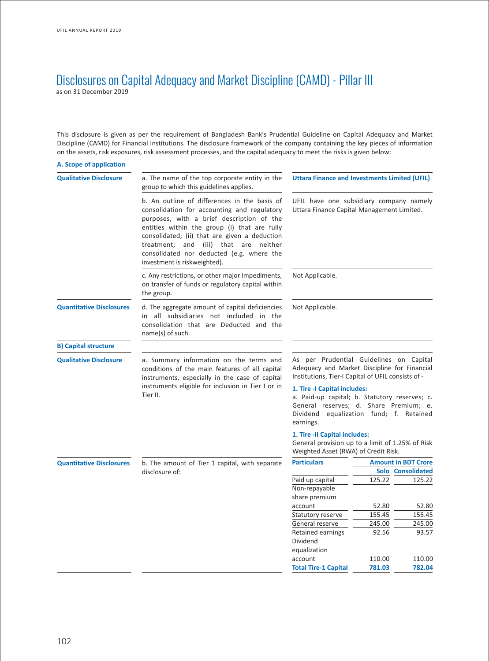# Disclosures on Capital Adequacy and Market Discipline (CAMD) - Pillar III as on 31 December 2019

This disclosure is given as per the requirement of Bangladesh Bank's Prudential Guideline on Capital Adequacy and Market Discipline (CAMD) for Financial Institutions. The disclosure framework of the company containing the key pieces of information on the assets, risk exposures, risk assessment processes, and the capital adequacy to meet the risks is given below:

| A. Scope of application         |                                                                                                                                                                                                                                                                                                                                                                 |                                                                                                                                                                                  |        |                            |
|---------------------------------|-----------------------------------------------------------------------------------------------------------------------------------------------------------------------------------------------------------------------------------------------------------------------------------------------------------------------------------------------------------------|----------------------------------------------------------------------------------------------------------------------------------------------------------------------------------|--------|----------------------------|
| <b>Qualitative Disclosure</b>   | a. The name of the top corporate entity in the<br>group to which this guidelines applies.                                                                                                                                                                                                                                                                       | Uttara Finance and Investments Limited (UFIL)                                                                                                                                    |        |                            |
|                                 | b. An outline of differences in the basis of<br>consolidation for accounting and regulatory<br>purposes, with a brief description of the<br>entities within the group (i) that are fully<br>consolidated; (ii) that are given a deduction<br>treatment; and (iii) that are neither<br>consolidated nor deducted (e.g. where the<br>investment is riskweighted). | UFIL have one subsidiary company namely<br>Uttara Finance Capital Management Limited.                                                                                            |        |                            |
|                                 | c. Any restrictions, or other major impediments,<br>on transfer of funds or regulatory capital within<br>the group.                                                                                                                                                                                                                                             | Not Applicable.                                                                                                                                                                  |        |                            |
| <b>Quantitative Disclosures</b> | d. The aggregate amount of capital deficiencies<br>in all subsidiaries not included in the<br>consolidation that are Deducted and the<br>name(s) of such.                                                                                                                                                                                                       | Not Applicable.                                                                                                                                                                  |        |                            |
| <b>B) Capital structure</b>     |                                                                                                                                                                                                                                                                                                                                                                 |                                                                                                                                                                                  |        |                            |
| <b>Qualitative Disclosure</b>   | a. Summary information on the terms and<br>conditions of the main features of all capital<br>instruments, especially in the case of capital                                                                                                                                                                                                                     | As per Prudential Guidelines on Capital<br>Adequacy and Market Discipline for Financial<br>Institutions, Tier-I Capital of UFIL consists of -                                    |        |                            |
|                                 | instruments eligible for inclusion in Tier I or in<br>Tier II.                                                                                                                                                                                                                                                                                                  | 1. Tire - I Capital includes:<br>a. Paid-up capital; b. Statutory reserves; c.<br>General reserves; d. Share Premium; e.<br>Dividend equalization fund; f. Retained<br>earnings. |        |                            |
|                                 |                                                                                                                                                                                                                                                                                                                                                                 | 1. Tire -II Capital includes:<br>General provision up to a limit of 1.25% of Risk<br>Weighted Asset (RWA) of Credit Risk.                                                        |        |                            |
| <b>Quantitative Disclosures</b> | b. The amount of Tier 1 capital, with separate                                                                                                                                                                                                                                                                                                                  | <b>Particulars</b>                                                                                                                                                               |        | <b>Amount in BDT Crore</b> |
|                                 | disclosure of:                                                                                                                                                                                                                                                                                                                                                  |                                                                                                                                                                                  |        | Solo Consolidated          |
|                                 |                                                                                                                                                                                                                                                                                                                                                                 | Paid up capital<br>Non-repayable                                                                                                                                                 | 125.22 | 125.22                     |
|                                 |                                                                                                                                                                                                                                                                                                                                                                 | share premium                                                                                                                                                                    |        |                            |
|                                 |                                                                                                                                                                                                                                                                                                                                                                 | account                                                                                                                                                                          | 52.80  | 52.80                      |
|                                 |                                                                                                                                                                                                                                                                                                                                                                 | Statutory reserve                                                                                                                                                                | 155.45 | 155.45                     |
|                                 |                                                                                                                                                                                                                                                                                                                                                                 | General reserve                                                                                                                                                                  | 245.00 | 245.00                     |
|                                 |                                                                                                                                                                                                                                                                                                                                                                 | Retained earnings                                                                                                                                                                | 92.56  | 93.57                      |
|                                 |                                                                                                                                                                                                                                                                                                                                                                 | Dividend                                                                                                                                                                         |        |                            |
|                                 |                                                                                                                                                                                                                                                                                                                                                                 | equalization                                                                                                                                                                     |        |                            |
|                                 |                                                                                                                                                                                                                                                                                                                                                                 | account                                                                                                                                                                          | 110.00 | 110.00                     |
|                                 |                                                                                                                                                                                                                                                                                                                                                                 | <b>Total Tire-1 Capital</b>                                                                                                                                                      | 781.03 | 782.04                     |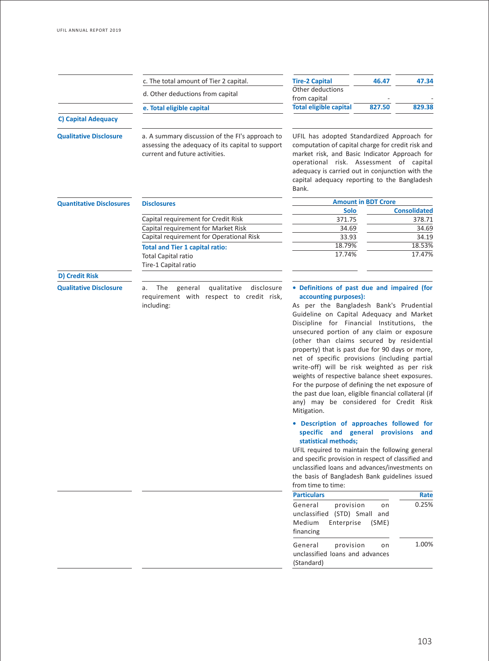|                                 | c. The total amount of Tier 2 capital.                                                                                                | <b>Tire-2 Capital</b>                                                                                                                                                                                                                                                                                   | 46.47                      | 47.34               |
|---------------------------------|---------------------------------------------------------------------------------------------------------------------------------------|---------------------------------------------------------------------------------------------------------------------------------------------------------------------------------------------------------------------------------------------------------------------------------------------------------|----------------------------|---------------------|
|                                 | d. Other deductions from capital                                                                                                      | Other deductions<br>from capital                                                                                                                                                                                                                                                                        |                            |                     |
|                                 | e. Total eligible capital                                                                                                             | <b>Total eligible capital</b>                                                                                                                                                                                                                                                                           | 827.50                     | 829.38              |
| <b>C) Capital Adequacy</b>      |                                                                                                                                       |                                                                                                                                                                                                                                                                                                         |                            |                     |
| <b>Qualitative Disclosure</b>   | a. A summary discussion of the FI's approach to<br>assessing the adequacy of its capital to support<br>current and future activities. | UFIL has adopted Standardized Approach for<br>computation of capital charge for credit risk and<br>market risk, and Basic Indicator Approach for<br>operational risk. Assessment of capital<br>adequacy is carried out in conjunction with the<br>capital adequacy reporting to the Bangladesh<br>Bank. |                            |                     |
| <b>Quantitative Disclosures</b> | <b>Disclosures</b>                                                                                                                    |                                                                                                                                                                                                                                                                                                         | <b>Amount in BDT Crore</b> |                     |
|                                 |                                                                                                                                       | <b>Solo</b>                                                                                                                                                                                                                                                                                             |                            | <b>Consolidated</b> |
|                                 | Capital requirement for Credit Risk                                                                                                   | 371.75                                                                                                                                                                                                                                                                                                  |                            | 378.71              |
|                                 | Capital requirement for Market Risk                                                                                                   | 34.69                                                                                                                                                                                                                                                                                                   |                            | 34.69               |
|                                 | Capital requirement for Operational Risk                                                                                              | 33.93                                                                                                                                                                                                                                                                                                   |                            | 34.19               |
|                                 | <b>Total and Tier 1 capital ratio:</b>                                                                                                | 18.79%                                                                                                                                                                                                                                                                                                  |                            | 18.53%              |
|                                 | <b>Total Capital ratio</b><br>Tire-1 Capital ratio                                                                                    | 17.74%                                                                                                                                                                                                                                                                                                  |                            | 17.47%              |
| <b>D) Credit Risk</b>           |                                                                                                                                       |                                                                                                                                                                                                                                                                                                         |                            |                     |
| <b>Qualitative Disclosure</b>   | qualitative<br>disclosure<br>The<br>general<br>а.<br>requirement with respect to credit risk,<br>including:                           | • Definitions of past due and impaired (for<br>accounting purposes):<br>As per the Bangladesh Bank's Prudential<br>Guideline on Capital Adequacy and Market<br>Discipline for Financial Institutions. the<br>unsecured portion of any claim or exposure<br>(other than claims secured by residential    |                            |                     |

(other than claims secured by residential property) that is past due for 90 days or more, net of specific provisions (including partial write-off) will be risk weighted as per risk weights of respective balance sheet exposures. For the purpose of defining the net exposure of the past due loan, eligible financial collateral (if any) may be considered for Credit Risk Mitigation.

## **• Description of approaches followed for specific and general provisions and statistical methods;**

UFIL required to maintain the following general and specific provision in respect of classified and unclassified loans and advances/investments on the basis of Bangladesh Bank guidelines issued from time to time:

| <b>Particulars</b>                                                                                 | Rate  |
|----------------------------------------------------------------------------------------------------|-------|
| General<br>provision<br>on<br>unclassified (STD) Small and<br>Medium Enterprise (SME)<br>financing | 0.25% |
| General<br>provision<br>on<br>unclassified loans and advances<br>(Standard)                        | 1.00% |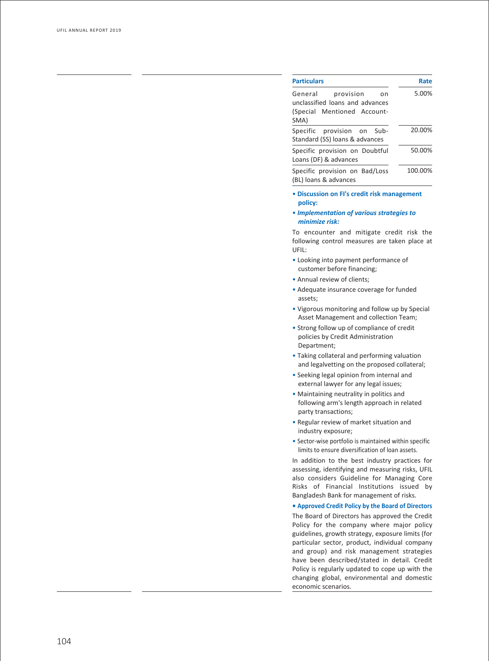| <b>Particulars</b>                                                                                                                  | Rate    |
|-------------------------------------------------------------------------------------------------------------------------------------|---------|
| General<br>provision<br>on                                                                                                          | 5.00%   |
| unclassified loans and advances<br>Mentioned Account-<br>(Special<br>SMA)                                                           |         |
| Specific<br>provision<br>on<br>Sub-<br>Standard (SS) loans & advances                                                               | 20.00%  |
| Specific provision on Doubtful<br>Loans (DF) & advances                                                                             | 50.00%  |
| Specific provision on Bad/Loss<br>(BL) loans & advances                                                                             | 100.00% |
| · Discussion on FI's credit risk management<br>policy:                                                                              |         |
| • Implementation of various strategies to<br>minimize risk:                                                                         |         |
| To encounter and mitigate credit risk the<br>following control measures are taken place at<br>UFIL:                                 |         |
| • Looking into payment performance of<br>customer before financing;                                                                 |         |
| • Annual review of clients;                                                                                                         |         |
| • Adequate insurance coverage for funded<br>assets;                                                                                 |         |
| . Vigorous monitoring and follow up by Special<br>Asset Management and collection Team;                                             |         |
| • Strong follow up of compliance of credit<br>policies by Credit Administration<br>Department;                                      |         |
| • Taking collateral and performing valuation<br>and legalvetting on the proposed collateral;                                        |         |
| • Seeking legal opinion from internal and<br>external lawyer for any legal issues;                                                  |         |
| • Maintaining neutrality in politics and                                                                                            |         |
| following arm's length approach in related<br>party transactions;                                                                   |         |
| . Regular review of market situation and<br>industry exposure;                                                                      |         |
| • Sector-wise portfolio is maintained within specific<br>limits to ensure diversification of loan assets.                           |         |
| In addition to the best industry practices for                                                                                      |         |
| assessing, identifying and measuring risks, UFIL                                                                                    |         |
| also considers Guideline for Managing Core<br>Risks of Financial Institutions issued by<br>Bangladesh Bank for management of risks. |         |
| • Approved Credit Policy by the Board of Directors                                                                                  |         |
| The Board of Directors has approved the Credit                                                                                      |         |
| Policy for the company where major policy                                                                                           |         |
| guidelines, growth strategy, exposure limits (for                                                                                   |         |
| particular sector, product, individual company                                                                                      |         |
| and group) and risk management strategies<br>have been described/stated in detail. Credit                                           |         |
| Policy is regularly updated to cope up with the                                                                                     |         |
| changing global, environmental and domestic                                                                                         |         |
| economic scenarios.                                                                                                                 |         |

## • **Discussion on FI's credit risk management policy:**

## • *Implementation of various strategies to minimize risk:*

- Looking into payment performance of customer before financing;
- Annual review of clients;
- Adequate insurance coverage for funded assets;
- Vigorous monitoring and follow up by Special Asset Management and collection Team;
- Strong follow up of compliance of credit policies by Credit Administration Department;
- Taking collateral and performing valuation and legalvetting on the proposed collateral;
- Seeking legal opinion from internal and external lawyer for any legal issues;
- Maintaining neutrality in politics and following arm's length approach in related party transactions;
- Regular review of market situation and industry exposure;
- Sector-wise portfolio is maintained within specific limits to ensure diversification of loan assets.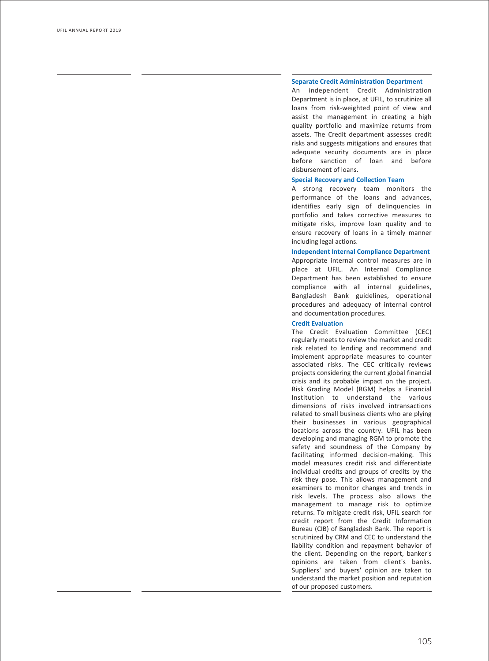### **Separate Credit Administration Department**

An independent Credit Administration Department is in place, at UFIL, to scrutinize all loans from risk-weighted point of view and assist the management in creating a high quality portfolio and maximize returns from assets. The Credit department assesses credit risks and suggests mitigations and ensures that adequate security documents are in place before sanction of loan and before disbursement of loans.

### **Special Recovery and Collection Team**

A strong recovery team monitors the performance of the loans and advances, identifies early sign of delinquencies in portfolio and takes corrective measures to mitigate risks, improve loan quality and to ensure recovery of loans in a timely manner including legal actions.

### **Independent Internal Compliance Department**

Appropriate internal control measures are in place at UFIL. An Internal Compliance Department has been established to ensure compliance with all internal guidelines, Bangladesh Bank guidelines, operational procedures and adequacy of internal control and documentation procedures.

### **Credit Evaluation**

The Credit Evaluation Committee (CEC) regularly meets to review the market and credit risk related to lending and recommend and implement appropriate measures to counter associated risks. The CEC critically reviews projects considering the current global financial crisis and its probable impact on the project. Risk Grading Model (RGM) helps a Financial Institution to understand the various dimensions of risks involved intransactions related to small business clients who are plying their businesses in various geographical locations across the country. UFIL has been developing and managing RGM to promote the safety and soundness of the Company by facilitating informed decision-making. This model measures credit risk and differentiate individual credits and groups of credits by the risk they pose. This allows management and examiners to monitor changes and trends in risk levels. The process also allows the management to manage risk to optimize returns. To mitigate credit risk, UFIL search for credit report from the Credit Information Bureau (CIB) of Bangladesh Bank. The report is scrutinized by CRM and CEC to understand the liability condition and repayment behavior of the client. Depending on the report, banker's opinions are taken from client's banks. Suppliers' and buyers' opinion are taken to understand the market position and reputation of our proposed customers.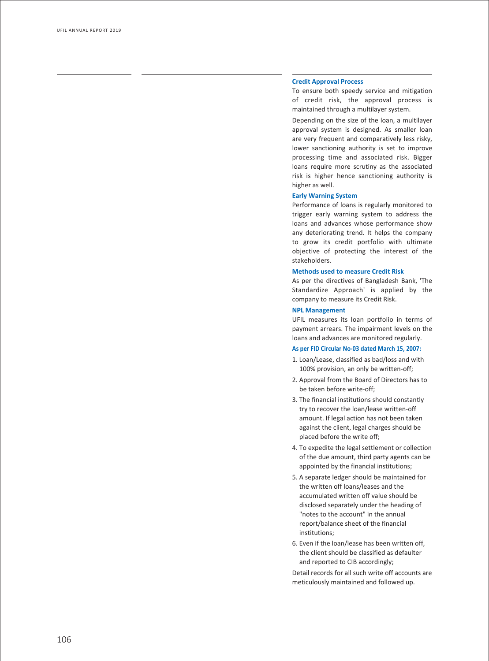### **Credit Approval Process**

To ensure both speedy service and mitigation of credit risk, the approval process is maintained through a multilayer system.

Depending on the size of the loan, a multilayer approval system is designed. As smaller loan are very frequent and comparatively less risky, lower sanctioning authority is set to improve processing time and associated risk. Bigger loans require more scrutiny as the associated risk is higher hence sanctioning authority is higher as well.

### **Early Warning System**

Performance of loans is regularly monitored to trigger early warning system to address the loans and advances whose performance show any deteriorating trend. It helps the company to grow its credit portfolio with ultimate objective of protecting the interest of the stakeholders.

### **Methods used to measure Credit Risk**

As per the directives of Bangladesh Bank, 'The Standardize Approach' is applied by the company to measure its Credit Risk.

### **NPL Management**

UFIL measures its loan portfolio in terms of payment arrears. The impairment levels on the loans and advances are monitored regularly.

### **As per FID Circular No-03 dated March 15, 2007:**

- 1. Loan/Lease, classified as bad/loss and with 100% provision, an only be written-off;
- 2. Approval from the Board of Directors has to be taken before write-off;
- 3. The financial institutions should constantly try to recover the loan/lease written-off amount. If legal action has not been taken against the client, legal charges should be placed before the write off;
- 4. To expedite the legal settlement or collection of the due amount, third party agents can be appointed by the financial institutions;
- 5. A separate ledger should be maintained for the written off loans/leases and the accumulated written off value should be disclosed separately under the heading of "notes to the account" in the annual report/balance sheet of the financial institutions;
- 6. Even if the loan/lease has been written off, the client should be classified as defaulter and reported to CIB accordingly;

Detail records for all such write off accounts are meticulously maintained and followed up.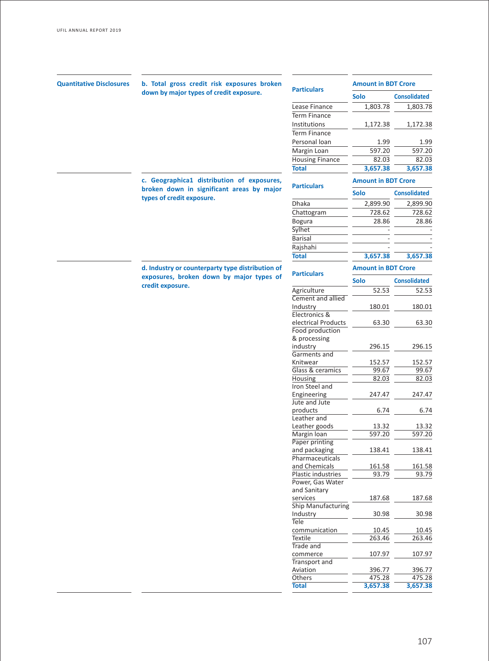| <b>Quantitative Disclosures</b> | b. Total gross credit risk exposures broken                                             |                        | <b>Amount in BDT Crore</b>         |                     |
|---------------------------------|-----------------------------------------------------------------------------------------|------------------------|------------------------------------|---------------------|
|                                 | down by major types of credit exposure.                                                 | <b>Particulars</b>     | <b>Solo</b><br><b>Consolidated</b> |                     |
|                                 |                                                                                         | Lease Finance          |                                    |                     |
|                                 |                                                                                         | <b>Term Finance</b>    | 1,803.78                           | 1,803.78            |
|                                 |                                                                                         |                        |                                    |                     |
|                                 |                                                                                         | Institutions           | 1,172.38                           | 1,172.38            |
|                                 |                                                                                         | <b>Term Finance</b>    |                                    |                     |
|                                 |                                                                                         | Personal loan          | 1.99                               | 1.99                |
|                                 |                                                                                         | Margin Loan            | 597.20                             | 597.20              |
|                                 |                                                                                         | <b>Housing Finance</b> | 82.03                              | 82.03               |
|                                 |                                                                                         | <b>Total</b>           | 3,657.38                           | 3,657.38            |
|                                 | c. Geographica1 distribution of exposures,<br>broken down in significant areas by major | <b>Particulars</b>     | <b>Amount in BDT Crore</b>         |                     |
|                                 | types of credit exposure.                                                               |                        | <b>Solo</b>                        | <b>Consolidated</b> |
|                                 |                                                                                         | Dhaka                  | 2,899.90                           | 2,899.90            |
|                                 |                                                                                         | Chattogram             | 728.62                             | 728.62              |
|                                 |                                                                                         | <b>Bogura</b>          | 28.86                              | 28.86               |
|                                 |                                                                                         | <b>Sylhet</b>          |                                    |                     |
|                                 |                                                                                         | <b>Barisal</b>         |                                    |                     |
|                                 |                                                                                         | Rajshahi               |                                    |                     |
|                                 |                                                                                         | <b>Total</b>           | 3,657.38                           | 3,657.38            |
|                                 | d. Industry or counterparty type distribution of                                        |                        | <b>Amount in BDT Crore</b>         |                     |
|                                 | exposures, broken down by major types of<br>credit exposure.                            | <b>Particulars</b>     | <b>Solo</b>                        | <b>Consolidated</b> |
|                                 |                                                                                         | Agriculture            | 52.53                              | 52.53               |
|                                 |                                                                                         | Cement and allied      |                                    |                     |
|                                 |                                                                                         | Industry               | 180.01                             | 180.01              |
|                                 |                                                                                         | Electronics &          |                                    |                     |
|                                 |                                                                                         | electrical Products    | 63.30                              | 63.30               |
|                                 |                                                                                         | Food production        |                                    |                     |
|                                 |                                                                                         | & processing           |                                    |                     |
|                                 |                                                                                         | industry               | 296.15                             | 296.15              |
|                                 |                                                                                         | Garments and           |                                    |                     |
|                                 |                                                                                         | Knitwear               | 152.57                             | 152.57              |
|                                 |                                                                                         | Glass & ceramics       | 99.67                              | 99.67               |
|                                 |                                                                                         | Housing                | 82.03                              | 82.03               |
|                                 |                                                                                         | Iron Steel and         |                                    |                     |
|                                 |                                                                                         | Engineering            | 247.47                             | 247.47              |
|                                 |                                                                                         | Jute and Jute          |                                    |                     |
|                                 |                                                                                         | products               | 6.74                               | 6.74                |
|                                 |                                                                                         | Leather and            |                                    |                     |
|                                 |                                                                                         | Leather goods          | 13.32                              | 13.32               |
|                                 |                                                                                         | Margin Ioan            | 597.20                             | 597.20              |
|                                 |                                                                                         | Paper printing         |                                    |                     |
|                                 |                                                                                         | and packaging          | 138.41                             | 138.41              |
|                                 |                                                                                         | Pharmaceuticals        |                                    |                     |
|                                 |                                                                                         | and Chemicals          | 161.58                             | 161.58              |
|                                 |                                                                                         | Plastic industries     | 93.79                              | 93.79               |
|                                 |                                                                                         | Power, Gas Water       |                                    |                     |
|                                 |                                                                                         | and Sanitary           |                                    |                     |
|                                 |                                                                                         | services               | 187.68                             | 187.68              |
|                                 |                                                                                         | Ship Manufacturing     |                                    |                     |
|                                 |                                                                                         | Industry               | 30.98                              | 30.98               |
|                                 |                                                                                         | Tele                   |                                    |                     |
|                                 |                                                                                         | communication          | 10.45                              | 10.45               |
|                                 |                                                                                         | Textile                | 263.46                             | 263.46              |
|                                 |                                                                                         | Trade and              |                                    |                     |
|                                 |                                                                                         | commerce               | 107.97                             | 107.97              |
|                                 |                                                                                         | Transport and          |                                    |                     |
|                                 |                                                                                         | Aviation               | 396.77                             | 396.77              |
|                                 |                                                                                         | Others                 | 475.28                             | 475.28              |
|                                 |                                                                                         | <b>Total</b>           | 3,657.38                           | 3,657.38            |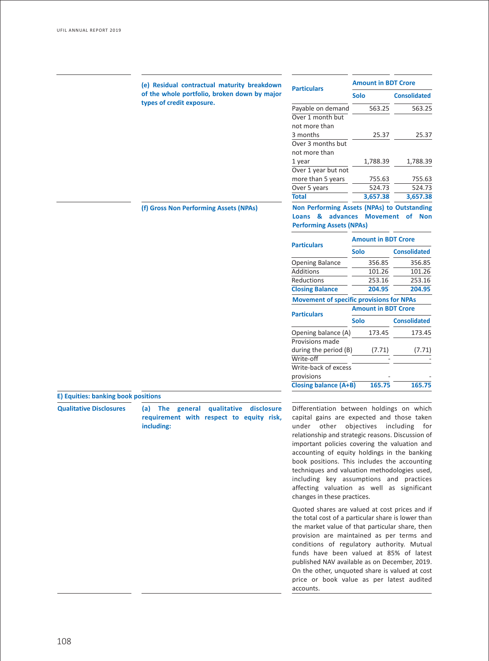|                                     | (e) Residual contractual maturity breakdown                                                         | <b>Particulars</b>                                                                                                                                                                                                                                                                                                                                                                                                                                                                                                                                              | <b>Amount in BDT Crore</b>                |                     |
|-------------------------------------|-----------------------------------------------------------------------------------------------------|-----------------------------------------------------------------------------------------------------------------------------------------------------------------------------------------------------------------------------------------------------------------------------------------------------------------------------------------------------------------------------------------------------------------------------------------------------------------------------------------------------------------------------------------------------------------|-------------------------------------------|---------------------|
|                                     | of the whole portfolio, broken down by major                                                        |                                                                                                                                                                                                                                                                                                                                                                                                                                                                                                                                                                 | <b>Solo</b>                               | <b>Consolidated</b> |
|                                     | types of credit exposure.                                                                           | Payable on demand                                                                                                                                                                                                                                                                                                                                                                                                                                                                                                                                               | 563.25                                    | 563.25              |
|                                     |                                                                                                     | Over 1 month but                                                                                                                                                                                                                                                                                                                                                                                                                                                                                                                                                |                                           |                     |
|                                     |                                                                                                     | not more than                                                                                                                                                                                                                                                                                                                                                                                                                                                                                                                                                   |                                           |                     |
|                                     |                                                                                                     | 3 months                                                                                                                                                                                                                                                                                                                                                                                                                                                                                                                                                        | 25.37                                     | 25.37               |
|                                     |                                                                                                     | Over 3 months but                                                                                                                                                                                                                                                                                                                                                                                                                                                                                                                                               |                                           |                     |
|                                     |                                                                                                     | not more than                                                                                                                                                                                                                                                                                                                                                                                                                                                                                                                                                   |                                           |                     |
|                                     |                                                                                                     | 1 year                                                                                                                                                                                                                                                                                                                                                                                                                                                                                                                                                          | 1,788.39                                  | 1,788.39            |
|                                     |                                                                                                     | Over 1 year but not                                                                                                                                                                                                                                                                                                                                                                                                                                                                                                                                             |                                           |                     |
|                                     |                                                                                                     | more than 5 years                                                                                                                                                                                                                                                                                                                                                                                                                                                                                                                                               | 755.63                                    | 755.63              |
|                                     |                                                                                                     | Over 5 years                                                                                                                                                                                                                                                                                                                                                                                                                                                                                                                                                    | 524.73                                    | 524.73              |
|                                     |                                                                                                     | <b>Total</b>                                                                                                                                                                                                                                                                                                                                                                                                                                                                                                                                                    | 3,657.38                                  | 3,657.38            |
|                                     |                                                                                                     | Non Performing Assets (NPAs) to Outstanding                                                                                                                                                                                                                                                                                                                                                                                                                                                                                                                     |                                           |                     |
|                                     | (f) Gross Non Performing Assets (NPAs)                                                              | Loans & advances Movement of Non                                                                                                                                                                                                                                                                                                                                                                                                                                                                                                                                |                                           |                     |
|                                     |                                                                                                     | <b>Performing Assets (NPAs)</b>                                                                                                                                                                                                                                                                                                                                                                                                                                                                                                                                 |                                           |                     |
|                                     |                                                                                                     |                                                                                                                                                                                                                                                                                                                                                                                                                                                                                                                                                                 |                                           |                     |
|                                     |                                                                                                     | <b>Particulars</b>                                                                                                                                                                                                                                                                                                                                                                                                                                                                                                                                              | <b>Amount in BDT Crore</b><br><b>Solo</b> | <b>Consolidated</b> |
|                                     |                                                                                                     |                                                                                                                                                                                                                                                                                                                                                                                                                                                                                                                                                                 |                                           |                     |
|                                     |                                                                                                     | <b>Opening Balance</b>                                                                                                                                                                                                                                                                                                                                                                                                                                                                                                                                          | 356.85                                    | 356.85              |
|                                     |                                                                                                     | Additions                                                                                                                                                                                                                                                                                                                                                                                                                                                                                                                                                       | 101.26                                    | 101.26              |
|                                     |                                                                                                     | Reductions                                                                                                                                                                                                                                                                                                                                                                                                                                                                                                                                                      | 253.16                                    | 253.16              |
|                                     |                                                                                                     | <b>Closing Balance</b>                                                                                                                                                                                                                                                                                                                                                                                                                                                                                                                                          | 204.95                                    | 204.95              |
|                                     |                                                                                                     | <b>Movement of specific provisions for NPAs</b>                                                                                                                                                                                                                                                                                                                                                                                                                                                                                                                 |                                           |                     |
|                                     |                                                                                                     | <b>Particulars</b>                                                                                                                                                                                                                                                                                                                                                                                                                                                                                                                                              | <b>Amount in BDT Crore</b>                |                     |
|                                     |                                                                                                     |                                                                                                                                                                                                                                                                                                                                                                                                                                                                                                                                                                 | <b>Solo</b>                               | <b>Consolidated</b> |
|                                     |                                                                                                     | Opening balance (A)                                                                                                                                                                                                                                                                                                                                                                                                                                                                                                                                             | 173.45                                    | 173.45              |
|                                     |                                                                                                     | Provisions made                                                                                                                                                                                                                                                                                                                                                                                                                                                                                                                                                 |                                           |                     |
|                                     |                                                                                                     | during the period (B)                                                                                                                                                                                                                                                                                                                                                                                                                                                                                                                                           | (7.71)                                    | (7.71)              |
|                                     |                                                                                                     | Write-off                                                                                                                                                                                                                                                                                                                                                                                                                                                                                                                                                       |                                           |                     |
|                                     |                                                                                                     | Write-back of excess                                                                                                                                                                                                                                                                                                                                                                                                                                                                                                                                            |                                           |                     |
|                                     |                                                                                                     | provisions                                                                                                                                                                                                                                                                                                                                                                                                                                                                                                                                                      |                                           |                     |
|                                     |                                                                                                     | <b>Closing balance (A+B)</b>                                                                                                                                                                                                                                                                                                                                                                                                                                                                                                                                    | 165.75                                    | 165.75              |
| E) Equities: banking book positions |                                                                                                     |                                                                                                                                                                                                                                                                                                                                                                                                                                                                                                                                                                 |                                           |                     |
| <b>Qualitative Disclosures</b>      | (a) The general<br>qualitative disclosure<br>requirement with respect to equity risk,<br>including: | Differentiation between holdings on which<br>capital gains are expected and those taken<br>under other objectives including for<br>relationship and strategic reasons. Discussion of<br>important policies covering the valuation and<br>accounting of equity holdings in the banking<br>book positions. This includes the accounting<br>techniques and valuation methodologies used,<br>including key assumptions and practices<br>affecting valuation as well as significant<br>changes in these practices.<br>Quated shares are valued at sect prices and if |                                           |                     |

Quoted shares are valued at cost prices and if the total cost of a particular share is lower than the market value of that particular share, then provision are maintained as per terms and conditions of regulatory authority. Mutual funds have been valued at 85% of latest published NAV available as on December, 2019. On the other, unquoted share is valued at cost price or book value as per latest audited accounts.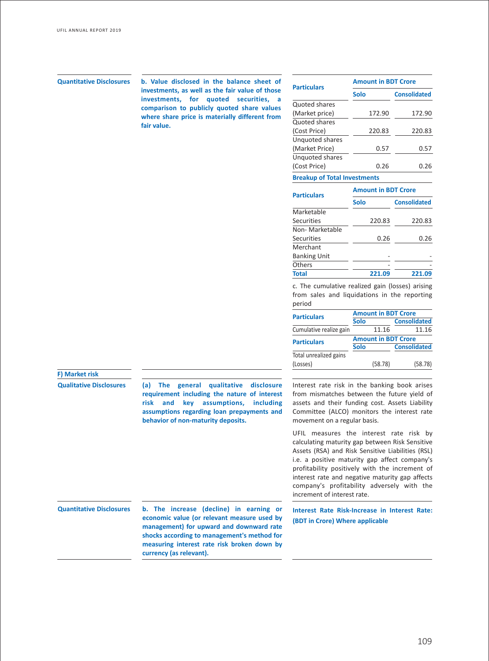**Dress Quantitative Disclosures** b. Value disclosed in the balance sheet of **Amount in BDT Crore**<br> **Particulars Amount in BDT Crore investments, as well as the fair value of those investments, for quoted securities, a comparison to publicly quoted share values where share price is materially different from fair value.**

| <b>Particulars</b>                  | <b>Amount in BDT Crore</b> |                     |  |  |
|-------------------------------------|----------------------------|---------------------|--|--|
|                                     | <b>Solo</b>                | <b>Consolidated</b> |  |  |
| Quoted shares                       |                            |                     |  |  |
| (Market price)                      | 172.90                     | 172.90              |  |  |
| <b>Quoted shares</b>                |                            |                     |  |  |
| (Cost Price)                        | 220.83                     | 220.83              |  |  |
| Unquoted shares                     |                            |                     |  |  |
| (Market Price)                      | 0.57                       | 0.57                |  |  |
| Unquoted shares                     |                            |                     |  |  |
| (Cost Price)                        | 0.26                       | 0.26                |  |  |
| <b>Breakup of Total Investments</b> |                            |                     |  |  |
| <b>Particulars</b>                  | <b>Amount in BDT Crore</b> |                     |  |  |
|                                     | Solo                       | <b>Consolidated</b> |  |  |
| Marketable                          |                            |                     |  |  |
| Securities                          | 220.83                     | 220.83              |  |  |
| Non-Marketable                      |                            |                     |  |  |
| <b>Securities</b>                   | 0.26                       | 0.26                |  |  |
| Merchant                            |                            |                     |  |  |
| <b>Banking Unit</b>                 |                            |                     |  |  |
| Others                              |                            |                     |  |  |
| Total                               | 221.09                     | 221.0               |  |  |

c. The cumulative realized gain (losses) arising from sales and liquidations in the reporting period

| <b>Amount in BDT Crore</b>       |  |                     |  |
|----------------------------------|--|---------------------|--|
| <b>Solo</b>                      |  | <b>Consolidated</b> |  |
| Cumulative realize gain<br>11.16 |  | 11.16               |  |
| <b>Amount in BDT Crore</b>       |  |                     |  |
| <b>Solo</b>                      |  | <b>Consolidated</b> |  |
|                                  |  |                     |  |
|                                  |  | (58.78)             |  |
|                                  |  | (58.78)             |  |

## **F) Market risk**

**Qualitative Disclosures (a) The general qualitative disclosure requirement including the nature of interest risk and key assumptions, including assumptions regarding loan prepayments and behavior of non-maturity deposits.**

from mismatches between the future yield of assets and their funding cost. Assets Liability Committee (ALCO) monitors the interest rate movement on a regular basis.

Interest rate risk in the banking book arises

UFIL measures the interest rate risk by calculating maturity gap between Risk Sensitive Assets (RSA) and Risk Sensitive Liabilities (RSL) i.e. a positive maturity gap affect company's profitability positively with the increment of interest rate and negative maturity gap affects company's profitability adversely with the increment of interest rate.

**Quantitative Disclosures b. The increase (decline) in earning or economic value (or relevant measure used by management) for upward and downward rate shocks according to management's method for measuring interest rate risk broken down by currency (as relevant).**

**Interest Rate Risk-Increase in Interest Rate: (BDT in Crore) Where applicable**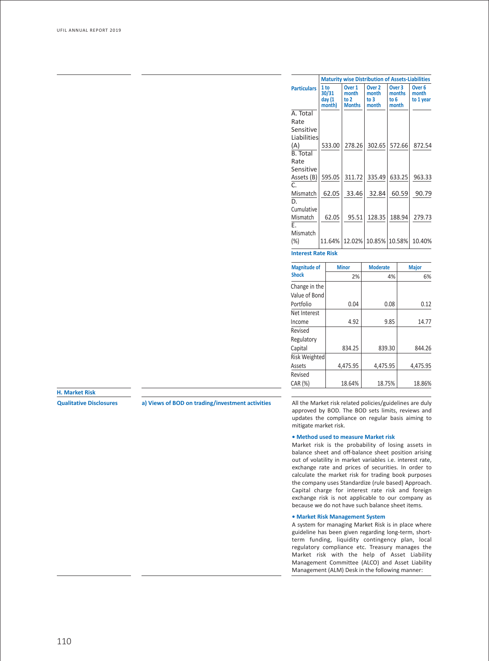|                    |                                              | <b>Maturity wise Distribution of Assets-Liabilities</b> |                                             |                                              |                                         |  |
|--------------------|----------------------------------------------|---------------------------------------------------------|---------------------------------------------|----------------------------------------------|-----------------------------------------|--|
| <b>Particulars</b> | 1 <sub>to</sub><br>30/31<br>day(1)<br>month) | Over 1<br>month<br>to $2$<br><b>Months</b>              | Over <sub>2</sub><br>month<br>to 3<br>month | Over <sub>3</sub><br>months<br>to 6<br>month | Over <sub>6</sub><br>month<br>to 1 year |  |
| A. Total           |                                              |                                                         |                                             |                                              |                                         |  |
| Rate               |                                              |                                                         |                                             |                                              |                                         |  |
| Sensitive          |                                              |                                                         |                                             |                                              |                                         |  |
| Liabilities        |                                              |                                                         |                                             |                                              |                                         |  |
| (A)                | 533.00                                       | 278.26                                                  | 302.65                                      | 572.66                                       | 872.54                                  |  |
| <b>B.</b> Total    |                                              |                                                         |                                             |                                              |                                         |  |
| Rate               |                                              |                                                         |                                             |                                              |                                         |  |
| Sensitive          |                                              |                                                         |                                             |                                              |                                         |  |
| Assets (B)         | 595.05                                       | 311.72                                                  | 335.49                                      | 633.25                                       | 963.33                                  |  |
| C.                 |                                              |                                                         |                                             |                                              |                                         |  |
| Mismatch<br>D.     | 62.05                                        | 33.46                                                   | 32.84                                       | 60.59                                        | 90.79                                   |  |
| Cumulative         |                                              |                                                         |                                             |                                              |                                         |  |
| Mismatch           | 62.05                                        | 95.51                                                   | 128.35                                      | 188.94                                       | 279.73                                  |  |
| E.                 |                                              |                                                         |                                             |                                              |                                         |  |
| Mismatch           |                                              |                                                         |                                             |                                              |                                         |  |
| $(\%)$             | 11.64%                                       |                                                         | 12.02% 10.85% 10.58%                        |                                              | 10.40%                                  |  |
|                    | <b>Interest Rate Risk</b>                    |                                                         |                                             |                                              |                                         |  |

| <b>Magnitude of</b>            | <b>Minor</b> | <b>Moderate</b> | <b>Major</b> |
|--------------------------------|--------------|-----------------|--------------|
| <b>Shock</b>                   | 2%           | 4%              | 6%           |
| Change in the<br>Value of Bond |              |                 |              |
| Portfolio                      | 0.04         | 0.08            | 0.12         |
| Net Interest                   |              |                 |              |
| Income                         | 4.92         | 9.85            | 14.77        |
| Revised                        |              |                 |              |
| Regulatory                     |              |                 |              |
| Capital                        | 834.25       | 839.30          | 844.26       |
| <b>Risk Weighted</b>           |              |                 |              |
| Assets                         | 4.475.95     | 4.475.95        | 4,475.95     |
| Revised                        |              |                 |              |
| CAR (%)                        | 18.64%       | 18.75%          | 18.86%       |

**H. Market Risk**

**Qualitative Disclosures a) Views of BOD on trading/investment activities** All the Market risk related policies/guidelines are duly approved by BOD. The BOD sets limits, reviews and updates the compliance on regular basis aiming to mitigate market risk.

## **• Method used to measure Market risk**

Market risk is the probability of losing assets in balance sheet and off-balance sheet position arising out of volatility in market variables i.e. interest rate, exchange rate and prices of securities. In order to calculate the market risk for trading book purposes the company uses Standardize (rule based) Approach. Capital charge for interest rate risk and foreign exchange risk is not applicable to our company as because we do not have such balance sheet items.

### **• Market Risk Management System**

A system for managing Market Risk is in place where guideline has been given regarding long-term, shortterm funding, liquidity contingency plan, local regulatory compliance etc. Treasury manages the Market risk with the help of Asset Liability Management Committee (ALCO) and Asset Liability Management (ALM) Desk in the following manner: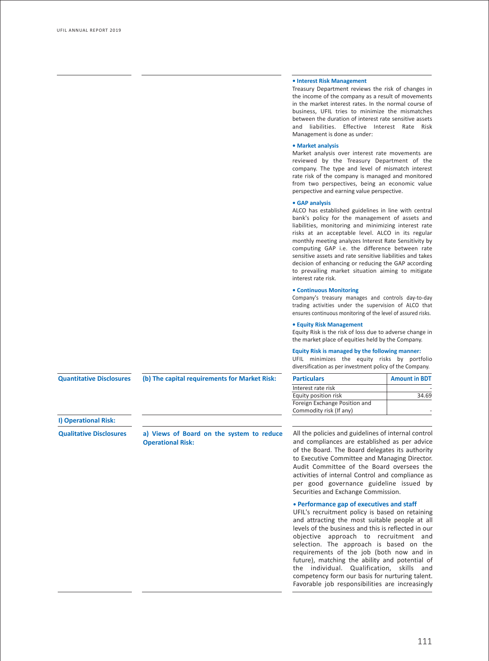### **• Interest Risk Management**

Treasury Department reviews the risk of changes in the income of the company as a result of movements in the market interest rates. In the normal course of business, UFIL tries to minimize the mismatches between the duration of interest rate sensitive assets and liabilities. Effective Interest Rate Risk Management is done as under:

### **• Market analysis**

Market analysis over interest rate movements are reviewed by the Treasury Department of the company. The type and level of mismatch interest rate risk of the company is managed and monitored from two perspectives, being an economic value perspective and earning value perspective.

### **• GAP analysis**

ALCO has established guidelines in line with central bank's policy for the management of assets and liabilities, monitoring and minimizing interest rate risks at an acceptable level. ALCO in its regular monthly meeting analyzes Interest Rate Sensitivity by computing GAP i.e. the difference between rate sensitive assets and rate sensitive liabilities and takes decision of enhancing or reducing the GAP according to prevailing market situation aiming to mitigate interest rate risk.

### **• Continuous Monitoring**

Company's treasury manages and controls day-to-day trading activities under the supervision of ALCO that ensures continuous monitoring of the level of assured risks.

### **• Equity Risk Management**

Equity Risk is the risk of loss due to adverse change in the market place of equities held by the Company.

### **Equity Risk is managed by the following manner:**

UFIL minimizes the equity risks by portfolio diversification as per investment policy of the Company.

| <b>Particulars</b>            | <b>Amount in BDT</b> |
|-------------------------------|----------------------|
| Interest rate risk            |                      |
| Equity position risk          | 34.69                |
| Foreign Exchange Position and |                      |
| Commodity risk (If any)       |                      |

**Quantitative Disclosures**

**(b) The capital requirements for Market Risk:** 

**I) Operational Risk:**

**Qualitative Disclosures a) Views of Board on the system to reduce Operational Risk:**

All the policies and guidelines of internal control and compliances are established as per advice of the Board. The Board delegates its authority to Executive Committee and Managing Director. Audit Committee of the Board oversees the activities of internal Control and compliance as per good governance guideline issued by Securities and Exchange Commission.

## **• Performance gap of executives and staff**

UFIL's recruitment policy is based on retaining and attracting the most suitable people at all levels of the business and this is reflected in our objective approach to recruitment and selection. The approach is based on the requirements of the job (both now and in future), matching the ability and potential of the individual. Qualification, skills and competency form our basis for nurturing talent. Favorable job responsibilities are increasingly